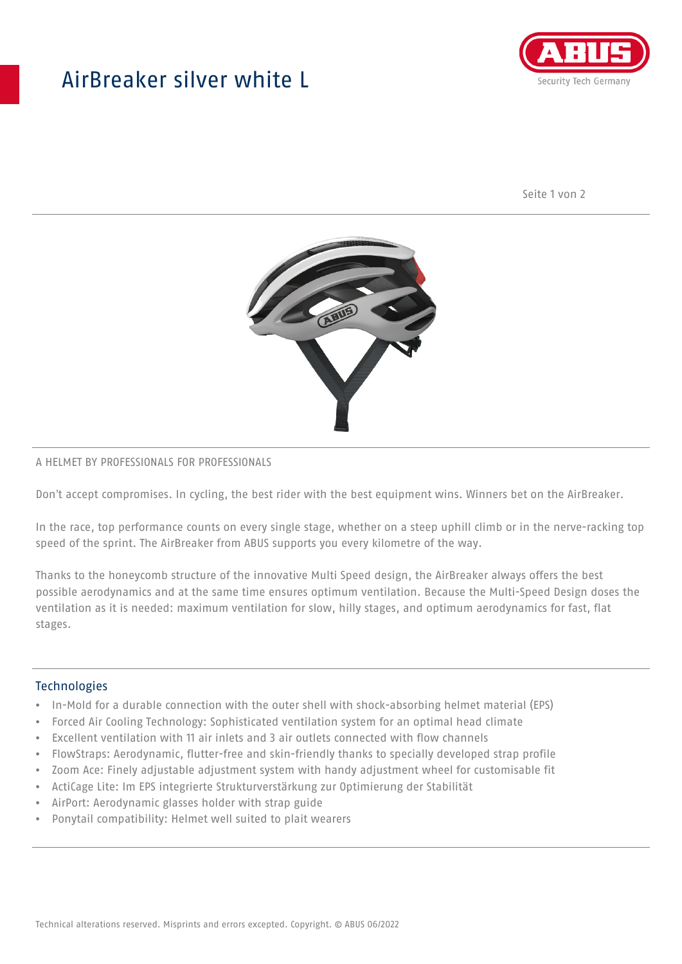## AirBreaker silver white L



Seite 1 von 2



#### A HELMET BY PROFESSIONALS FOR PROFESSIONALS

Don't accept compromises. In cycling, the best rider with the best equipment wins. Winners bet on the AirBreaker.

In the race, top performance counts on every single stage, whether on a steep uphill climb or in the nerve-racking top speed of the sprint. The AirBreaker from ABUS supports you every kilometre of the way.

Thanks to the honeycomb structure of the innovative Multi Speed design, the AirBreaker always offers the best possible aerodynamics and at the same time ensures optimum ventilation. Because the Multi-Speed Design doses the ventilation as it is needed: maximum ventilation for slow, hilly stages, and optimum aerodynamics for fast, flat stages.

#### **Technologies**

- In-Mold for a durable connection with the outer shell with shock-absorbing helmet material (EPS)
- Forced Air Cooling Technology: Sophisticated ventilation system for an optimal head climate
- Excellent ventilation with 11 air inlets and 3 air outlets connected with flow channels
- FlowStraps: Aerodynamic, flutter-free and skin-friendly thanks to specially developed strap profile
- Zoom Ace: Finely adjustable adjustment system with handy adjustment wheel for customisable fit
- ActiCage Lite: Im EPS integrierte Strukturverstärkung zur Optimierung der Stabilität
- AirPort: Aerodynamic glasses holder with strap guide
- Ponytail compatibility: Helmet well suited to plait wearers